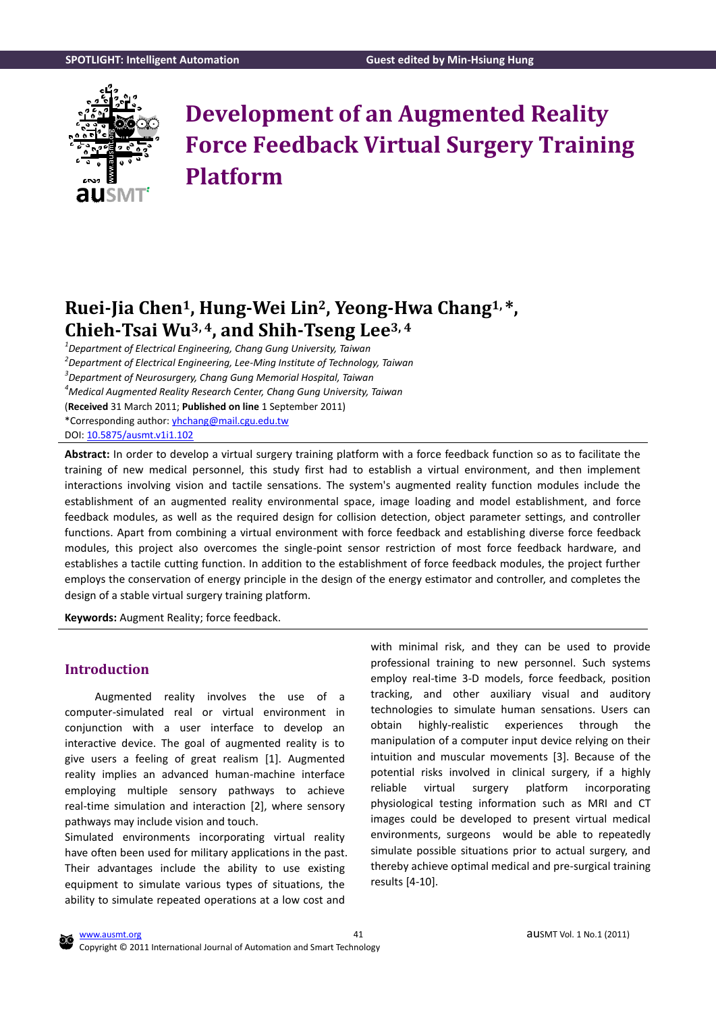<span id="page-0-0"></span>

# **Development of an Augmented Reality Force Feedback Virtual Surgery Training Platform**

# **Ruei-Jia Chen1, Hung-Wei Lin2, Yeong-Hwa Chang1, \*, Chieh-Tsai Wu3, <sup>4</sup> , and Shih-Tseng Lee3, <sup>4</sup>**

*1 Department of Electrical Engineering, Chang Gung University, Taiwan 2 Department of Electrical Engineering, Lee-Ming Institute of Technology, Taiwan 3 Department of Neurosurgery, Chang Gung Memorial Hospital, Taiwan <sup>4</sup>Medical Augmented Reality Research Center, Chang Gung University, Taiwan* (**Received** 31 March 2011; **Published on line** 1 September 2011) \*Corresponding author:<yhchang@mail.cgu.edu.tw> DOI[: 10.5875/ausmt.v1i1.102](http://dx.doi.org/10.5875/ausmt.v1i1.102)

**Abstract:** In order to develop a virtual surgery training platform with a force feedback function so as to facilitate the training of new medical personnel, this study first had to establish a virtual environment, and then implement interactions involving vision and tactile sensations. The system's augmented reality function modules include the establishment of an augmented reality environmental space, image loading and model establishment, and force feedback modules, as well as the required design for collision detection, object parameter settings, and controller functions. Apart from combining a virtual environment with force feedback and establishing diverse force feedback modules, this project also overcomes the single-point sensor restriction of most force feedback hardware, and establishes a tactile cutting function. In addition to the establishment of force feedback modules, the project further employs the conservation of energy principle in the design of the energy estimator and controller, and completes the design of a stable virtual surgery training platform.

**Keywords:** Augment Reality; force feedback.

# **Introduction**

Augmented reality involves the use of a computer-simulated real or virtual environment in conjunction with a user interface to develop an interactive device. The goal of augmented reality is to give users a feeling of great realism [\[1\]](#page-9-0). Augmented reality implies an advanced human-machine interface employing multiple sensory pathways to achieve real-time simulation and interaction [\[2\]](#page-9-1), where sensory pathways may include vision and touch.

Simulated environments incorporating virtual reality have often been used for military applications in the past. Their advantages include the ability to use existing equipment to simulate various types of situations, the ability to simulate repeated operations at a low cost and

with minimal risk, and they can be used to provide professional training to new personnel. Such systems employ real-time 3-D models, force feedback, position tracking, and other auxiliary visual and auditory technologies to simulate human sensations. Users can obtain highly-realistic experiences through the manipulation of a computer input device relying on their intuition and muscular movements [\[3\]](#page-9-2). Because of the potential risks involved in clinical surgery, if a highly reliable virtual surgery platform incorporating physiological testing information such as MRI and CT images could be developed to present virtual medical environments, surgeons would be able to repeatedly simulate possible situations prior to actual surgery, and thereby achieve optimal medical and pre-surgical training results [\[4-10\]](#page-9-3).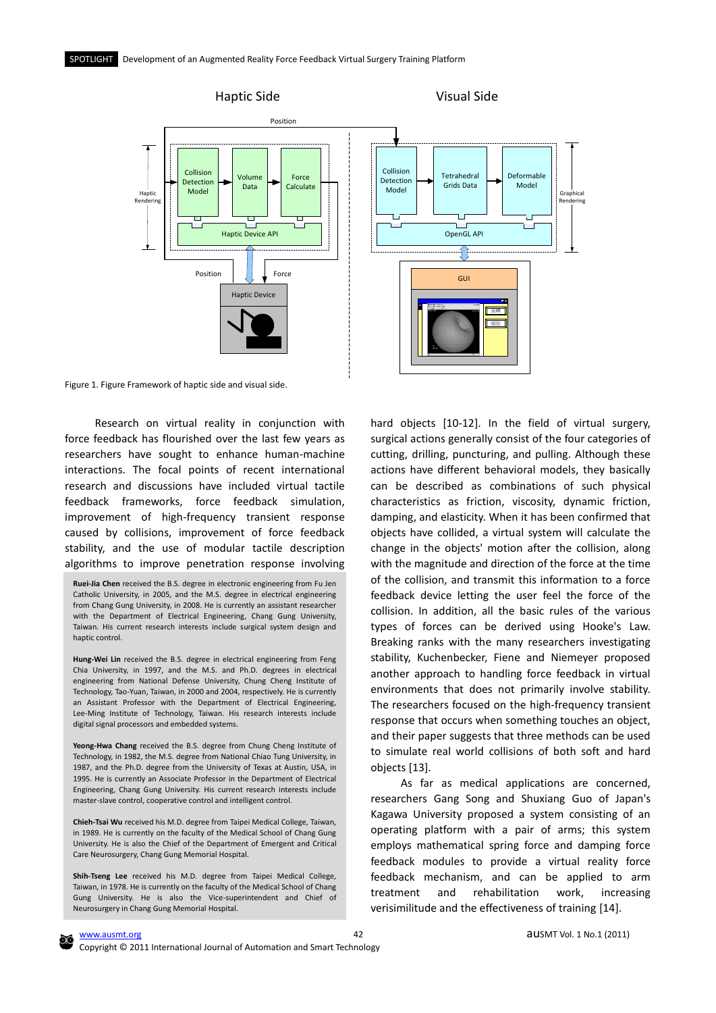

Figure 1. Figure Framework of haptic side and visual side.

Research on virtual reality in conjunction with force feedback has flourished over the last few years as researchers have sought to enhance human-machine interactions. The focal points of recent international research and discussions have included virtual tactile feedback frameworks, force feedback simulation, improvement of high-frequency transient response caused by collisions, improvement of force feedback stability, and the use of modular tactile description algorithms to improve penetration response involving

**Ruei-Jia Chen** received the B.S. degree in electronic engineering from Fu Jen Catholic University, in 2005, and the M.S. degree in electrical engineering from Chang Gung University, in 2008. He is currently an assistant researcher with the Department of Electrical Engineering, Chang Gung University, Taiwan. His current research interests include surgical system design and haptic control.

**Hung-Wei Lin** received the B.S. degree in electrical engineering from Feng Chia University, in 1997, and the M.S. and Ph.D. degrees in electrical engineering from National Defense University, Chung Cheng Institute of Technology, Tao-Yuan, Taiwan, in 2000 and 2004, respectively. He is currently an Assistant Professor with the Department of Electrical Engineering, Lee-Ming Institute of Technology, Taiwan. His research interests include digital signal processors and embedded systems.

**Yeong-Hwa Chang** received the B.S. degree from Chung Cheng Institute of Technology, in 1982, the M.S. degree from National Chiao Tung University, in 1987, and the Ph.D. degree from the University of Texas at Austin, USA, in 1995. He is currently an Associate Professor in the Department of Electrical Engineering, Chang Gung University. His current research interests include master-slave control, cooperative control and intelligent control.

**Chieh-Tsai Wu** received his M.D. degree from Taipei Medical College, Taiwan, in 1989. He is currently on the faculty of the Medical School of Chang Gung University. He is also the Chief of the Department of Emergent and Critical Care Neurosurgery, Chang Gung Memorial Hospital.

**Shih-Tseng Lee** received his M.D. degree from Taipei Medical College, Taiwan, in 1978. He is currently on the faculty of the Medical School of Chang Gung University. He is also the Vice-superintendent and Chief of Neurosurgery in Chang Gung Memorial Hospital.

hard objects [\[10-12\]](#page-10-0). In the field of virtual surgery, surgical actions generally consist of the four categories of cutting, drilling, puncturing, and pulling. Although these actions have different behavioral models, they basically can be described as combinations of such physical characteristics as friction, viscosity, dynamic friction, damping, and elasticity. When it has been confirmed that objects have collided, a virtual system will calculate the change in the objects' motion after the collision, along with the magnitude and direction of the force at the time of the collision, and transmit this information to a force feedback device letting the user feel the force of the collision. In addition, all the basic rules of the various types of forces can be derived using Hooke's Law. Breaking ranks with the many researchers investigating stability, Kuchenbecker, Fiene and Niemeyer proposed another approach to handling force feedback in virtual environments that does not primarily involve stability. The researchers focused on the high-frequency transient response that occurs when something touches an object, and their paper suggests that three methods can be used to simulate real world collisions of both soft and hard objects [\[13\]](#page-10-1).

As far as medical applications are concerned, researchers Gang Song and Shuxiang Guo of Japan's Kagawa University proposed a system consisting of an operating platform with a pair of arms; this system employs mathematical spring force and damping force feedback modules to provide a virtual reality force feedback mechanism, and can be applied to arm treatment and rehabilitation work, increasing verisimilitude and the effectiveness of training [\[14\]](#page-10-2).

Copyright © 2011 International Journal of Automation and Smart Technology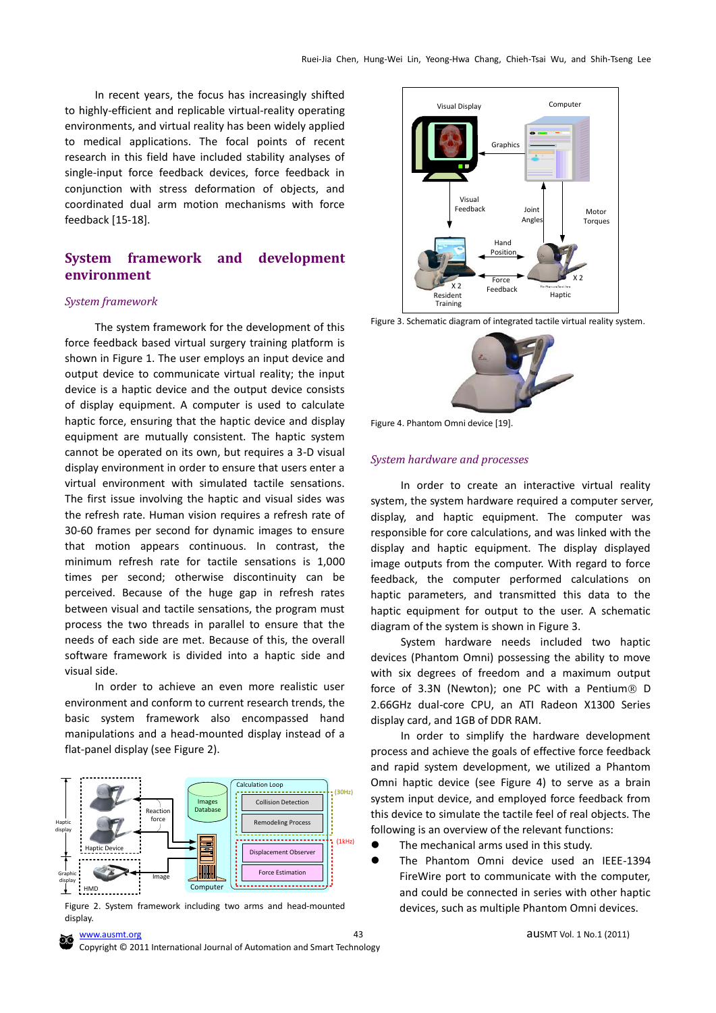In recent years, the focus has increasingly shifted to highly-efficient and replicable virtual-reality operating environments, and virtual reality has been widely applied to medical applications. The focal points of recent research in this field have included stability analyses of single-input force feedback devices, force feedback in conjunction with stress deformation of objects, and coordinated dual arm motion mechanisms with force feedback [\[15-18\]](#page-10-3).

# **System framework and development environment**

#### *System framework*

The system framework for the development of this force feedback based virtual surgery training platform is shown in Figure 1. The user employs an input device and output device to communicate virtual reality; the input device is a haptic device and the output device consists of display equipment. A computer is used to calculate haptic force, ensuring that the haptic device and display equipment are mutually consistent. The haptic system cannot be operated on its own, but requires a 3-D visual display environment in order to ensure that users enter a virtual environment with simulated tactile sensations. The first issue involving the haptic and visual sides was the refresh rate. Human vision requires a refresh rate of 30-60 frames per second for dynamic images to ensure that motion appears continuous. In contrast, the minimum refresh rate for tactile sensations is 1,000 times per second; otherwise discontinuity can be perceived. Because of the huge gap in refresh rates between visual and tactile sensations, the program must process the two threads in parallel to ensure that the needs of each side are met. Because of this, the overall software framework is divided into a haptic side and visual side.

In order to achieve an even more realistic user environment and conform to current research trends, the basic system framework also encompassed hand manipulations and a head-mounted display instead of a flat-panel display (see Figure 2).



Figure 2. System framework including two arms and head-mounted display.







Figure 4. Phantom Omni device [\[19\].](#page-10-4)

#### *System hardware and processes*

In order to create an interactive virtual reality system, the system hardware required a computer server, display, and haptic equipment. The computer was responsible for core calculations, and was linked with the display and haptic equipment. The display displayed image outputs from the computer. With regard to force feedback, the computer performed calculations on haptic parameters, and transmitted this data to the haptic equipment for output to the user. A schematic diagram of the system is shown in Figure 3.

System hardware needs included two haptic devices (Phantom Omni) possessing the ability to move with six degrees of freedom and a maximum output force of 3.3N (Newton); one PC with a Pentium® D 2.66GHz dual-core CPU, an ATI Radeon X1300 Series display card, and 1GB of DDR RAM.

In order to simplify the hardware development process and achieve the goals of effective force feedback and rapid system development, we utilized a Phantom Omni haptic device (see Figure 4) to serve as a brain system input device, and employed force feedback from this device to simulate the tactile feel of real objects. The following is an overview of the relevant functions:

- The mechanical arms used in this study.
- The Phantom Omni device used an IEEE-1394 FireWire port to communicate with the computer, and could be connected in series with other haptic devices, such as multiple Phantom Omni devices.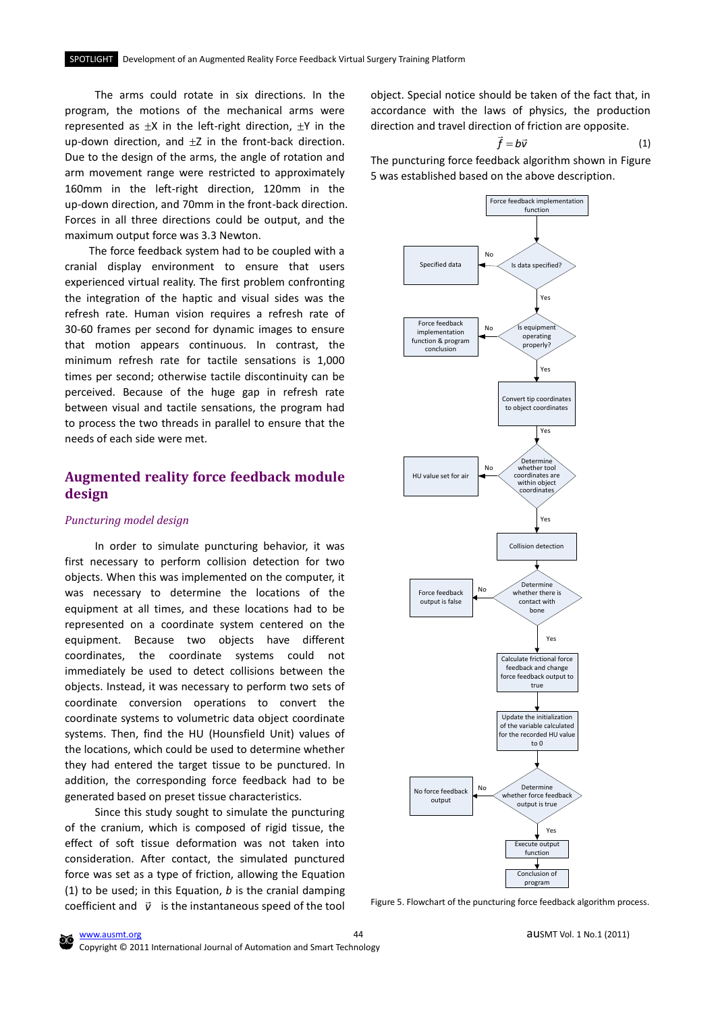The arms could rotate in six directions. In the program, the motions of the mechanical arms were represented as  $\pm X$  in the left-right direction,  $\pm Y$  in the up-down direction, and  $\pm$ Z in the front-back direction. Due to the design of the arms, the angle of rotation and arm movement range were restricted to approximately 160mm in the left-right direction, 120mm in the up-down direction, and 70mm in the front-back direction. Forces in all three directions could be output, and the maximum output force was 3.3 Newton.

The force feedback system had to be coupled with a cranial display environment to ensure that users experienced virtual reality. The first problem confronting the integration of the haptic and visual sides was the refresh rate. Human vision requires a refresh rate of 30-60 frames per second for dynamic images to ensure that motion appears continuous. In contrast, the minimum refresh rate for tactile sensations is 1,000 times per second; otherwise tactile discontinuity can be perceived. Because of the huge gap in refresh rate between visual and tactile sensations, the program had to process the two threads in parallel to ensure that the needs of each side were met.

# **Augmented reality force feedback module design**

# *Puncturing model design*

In order to simulate puncturing behavior, it was first necessary to perform collision detection for two objects. When this was implemented on the computer, it was necessary to determine the locations of the equipment at all times, and these locations had to be represented on a coordinate system centered on the equipment. Because two objects have different coordinates, the coordinate systems could not immediately be used to detect collisions between the objects. Instead, it was necessary to perform two sets of coordinate conversion operations to convert the coordinate systems to volumetric data object coordinate systems. Then, find the HU (Hounsfield Unit) values of the locations, which could be used to determine whether they had entered the target tissue to be punctured. In addition, the corresponding force feedback had to be generated based on preset tissue characteristics.

Since this study sought to simulate the puncturing of the cranium, which is composed of rigid tissue, the effect of soft tissue deformation was not taken into consideration. After contact, the simulated punctured force was set as a type of friction, allowing the Equation (1) to be used; in this Equation, *b* is the cranial damping coefficient and  $\vec{v}$  is the instantaneous speed of the tool object. Special notice should be taken of the fact that, in accordance with the laws of physics, the production direction and travel direction of friction are opposite.

$$
\vec{f} = b\vec{v}
$$

(1)

The puncturing force feedback algorithm shown in Figure 5 was established based on the above description.



Figure 5. Flowchart of the puncturing force feedback algorithm process.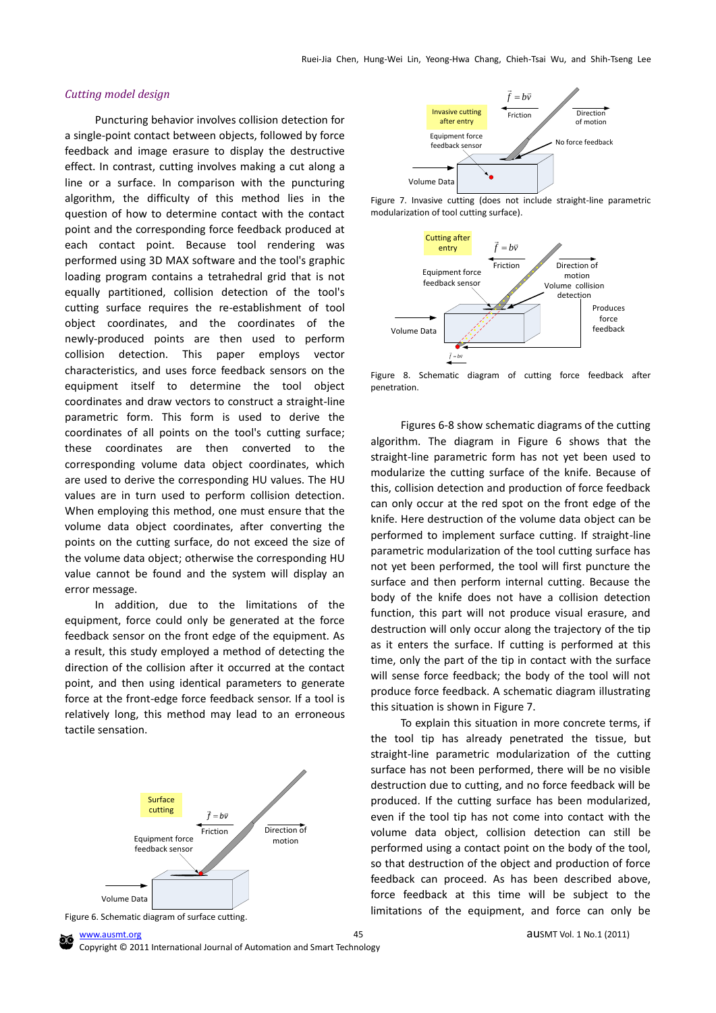#### *Cutting model design*

 Puncturing behavior involves collision detection for a single-point contact between objects, followed by force feedback and image erasure to display the destructive effect. In contrast, cutting involves making a cut along a line or a surface. In comparison with the puncturing algorithm, the difficulty of this method lies in the question of how to determine contact with the contact point and the corresponding force feedback produced at each contact point. Because tool rendering was performed using 3D MAX software and the tool's graphic loading program contains a tetrahedral grid that is not equally partitioned, collision detection of the tool's cutting surface requires the re-establishment of tool object coordinates, and the coordinates of the newly-produced points are then used to perform collision detection. This paper employs vector characteristics, and uses force feedback sensors on the equipment itself to determine the tool object coordinates and draw vectors to construct a straight-line parametric form. This form is used to derive the coordinates of all points on the tool's cutting surface; these coordinates are then converted to the corresponding volume data object coordinates, which are used to derive the corresponding HU values. The HU values are in turn used to perform collision detection. When employing this method, one must ensure that the volume data object coordinates, after converting the points on the cutting surface, do not exceed the size of the volume data object; otherwise the corresponding HU value cannot be found and the system will display an error message.

In addition, due to the limitations of the equipment, force could only be generated at the force feedback sensor on the front edge of the equipment. As a result, this study employed a method of detecting the direction of the collision after it occurred at the contact point, and then using identical parameters to generate force at the front-edge force feedback sensor. If a tool is relatively long, this method may lead to an erroneous tactile sensation.







Figure 7. Invasive cutting (does not include straight-line parametric modularization of tool cutting surface).



Figure 8. Schematic diagram of cutting force feedback after penetration.

Figures 6-8 show schematic diagrams of the cutting algorithm. The diagram in Figure 6 shows that the straight-line parametric form has not yet been used to modularize the cutting surface of the knife. Because of this, collision detection and production of force feedback can only occur at the red spot on the front edge of the knife. Here destruction of the volume data object can be performed to implement surface cutting. If straight-line parametric modularization of the tool cutting surface has not yet been performed, the tool will first puncture the surface and then perform internal cutting. Because the body of the knife does not have a collision detection function, this part will not produce visual erasure, and destruction will only occur along the trajectory of the tip as it enters the surface. If cutting is performed at this time, only the part of the tip in contact with the surface will sense force feedback; the body of the tool will not produce force feedback. A schematic diagram illustrating this situation is shown in Figure 7.

To explain this situation in more concrete terms, if the tool tip has already penetrated the tissue, but straight-line parametric modularization of the cutting surface has not been performed, there will be no visible destruction due to cutting, and no force feedback will be produced. If the cutting surface has been modularized, even if the tool tip has not come into contact with the volume data object, collision detection can still be performed using a contact point on the body of the tool, so that destruction of the object and production of force feedback can proceed. As has been described above, force feedback at this time will be subject to the limitations of the equipment, and force can only be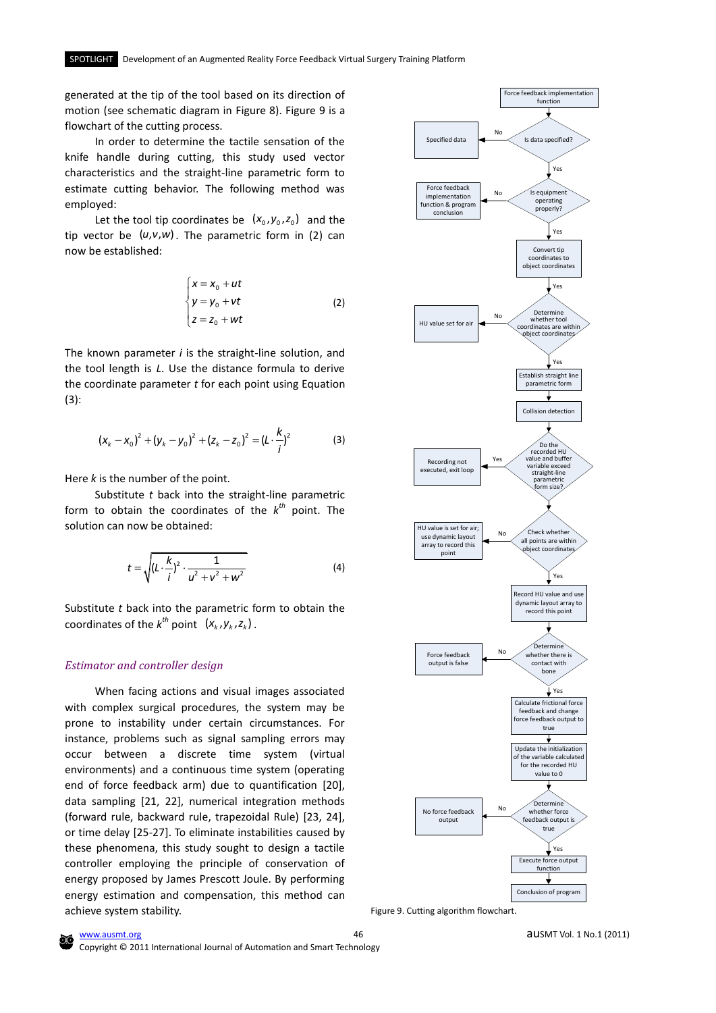generated at the tip of the tool based on its direction of motion (see schematic diagram in Figure 8). Figure 9 is a flowchart of the cutting process.

In order to determine the tactile sensation of the knife handle during cutting, this study used vector characteristics and the straight-line parametric form to estimate cutting behavior. The following method was employed:

Let the tool tip coordinates be  $(x_0, y_0, z_0)$  and the tip vector be  $(u,v,w)$ . The parametric form in (2) can now be established:

$$
\begin{cases}\n x = x_0 + ut \\
 y = y_0 + vt \\
 z = z_0 + wt\n\end{cases}
$$
\n(2)

The known parameter *i* is the straight-line solution, and the tool length is *L*. Use the distance formula to derive the coordinate parameter *t* for each point using Equation (3):

$$
(x_k - x_0)^2 + (y_k - y_0)^2 + (z_k - z_0)^2 = (L \cdot \frac{k}{i})^2
$$
 (3)

Here *k* is the number of the point.

Substitute *t* back into the straight-line parametric form to obtain the coordinates of the  $k^{th}$  point. The solution can now be obtained:

$$
t = \sqrt{\left(L \cdot \frac{k}{i}\right)^2 \cdot \frac{1}{u^2 + v^2 + w^2}}
$$
 (4)

Substitute *t* back into the parametric form to obtain the coordinates of the  $k^{th}$  point  $(x_k, y_k, z_k)$ .

#### *Estimator and controller design*

When facing actions and visual images associated with complex surgical procedures, the system may be prone to instability under certain circumstances. For instance, problems such as signal sampling errors may occur between a discrete time system (virtual environments) and a continuous time system (operating end of force feedback arm) due to quantification [\[20\]](#page-10-5), data sampling [\[21,](#page-10-6) [22\]](#page-10-7), numerical integration methods (forward rule, backward rule, trapezoidal Rule) [\[23,](#page-10-8) [24\]](#page-10-9), or time delay [\[25-27\]](#page-10-10). To eliminate instabilities caused by these phenomena, this study sought to design a tactile controller employing the principle of conservation of energy proposed by James Prescott Joule. By performing energy estimation and compensation, this method can achieve system stability.



Figure 9. Cutting algorithm flowchart.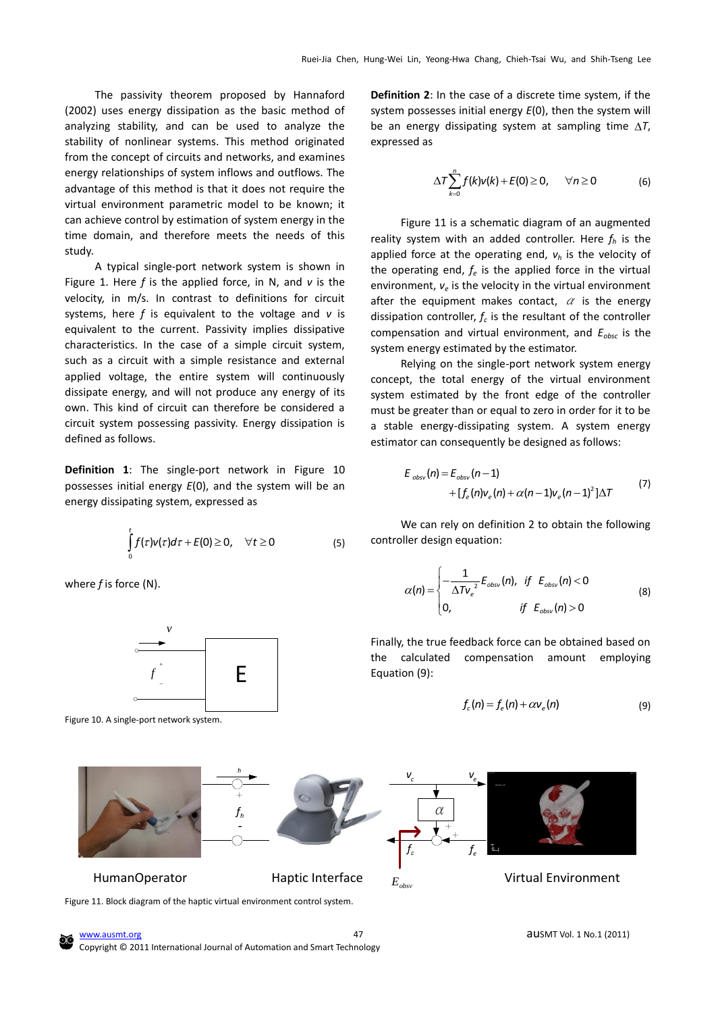The passivity theorem proposed by Hannaford (2002) uses energy dissipation as the basic method of analyzing stability, and can be used to analyze the stability of nonlinear systems. This method originated from the concept of circuits and networks, and examines energy relationships of system inflows and outflows. The advantage of this method is that it does not require the virtual environment parametric model to be known; it can achieve control by estimation of system energy in the time domain, and therefore meets the needs of this study.

A typical single-port network system is shown in Figure 1. Here *f* is the applied force, in N, and *v* is the velocity, in m/s. In contrast to definitions for circuit systems, here *f* is equivalent to the voltage and *v* is equivalent to the current. Passivity implies dissipative characteristics. In the case of a simple circuit system, such as a circuit with a simple resistance and external applied voltage, the entire system will continuously dissipate energy, and will not produce any energy of its own. This kind of circuit can therefore be considered a circuit system possessing passivity. Energy dissipation is defined as follows.

**Definition 1**: The single-port network in Figure 10 possesses initial energy *E*(0), and the system will be an energy dissipating system, expressed as

$$
\int_{0}^{t} f(\tau) v(\tau) d\tau + E(0) \geq 0, \quad \forall t \geq 0 \tag{5}
$$

where *f* is force (N).



Figure 10. A single-port network system.

**Definition 2**: In the case of a discrete time system, if the system possesses initial energy *E*(0), then the system will be an energy dissipating system at sampling time  $\Delta T$ , expressed as

$$
\Delta T \sum_{k=0}^{n} f(k) v(k) + E(0) \ge 0, \quad \forall n \ge 0 \tag{6}
$$

Figure 11 is a schematic diagram of an augmented reality system with an added controller. Here *f<sup>h</sup>* is the applied force at the operating end, *v<sup>h</sup>* is the velocity of the operating end,  $f_e$  is the applied force in the virtual environment,  $v_e$  is the velocity in the virtual environment after the equipment makes contact,  $\alpha$  is the energy dissipation controller,  $f_c$  is the resultant of the controller compensation and virtual environment, and *Eobsc* is the system energy estimated by the estimator.

Relying on the single-port network system energy concept, the total energy of the virtual environment system estimated by the front edge of the controller must be greater than or equal to zero in order for it to be a stable energy-dissipating system. A system energy estimator can consequently be designed as follows:

$$
E_{obs} (n) = E_{obs} (n-1) + [f_e(n) v_e(n) + \alpha (n-1) v_e(n-1)^2] \Delta T
$$
 (7)

We can rely on definition 2 to obtain the following controller design equation:

$$
\alpha(n) = \begin{cases}\n-\frac{1}{\Delta T v_e^2} E_{\text{obsv}}(n), & \text{if } E_{\text{obsv}}(n) < 0 \\
0, & \text{if } E_{\text{obsv}}(n) > 0\n\end{cases}
$$
\n(8)

Finally, the true feedback force can be obtained based on the calculated compensation amount employing Equation (9):

$$
f_c(n) = f_e(n) + \alpha v_e(n) \tag{9}
$$



[www.ausmt.org](http://www.ausmt.org/) auSMT Vol. 1 No.1 (2011) Copyright © 2011 International Journal of Automation and Smart Technology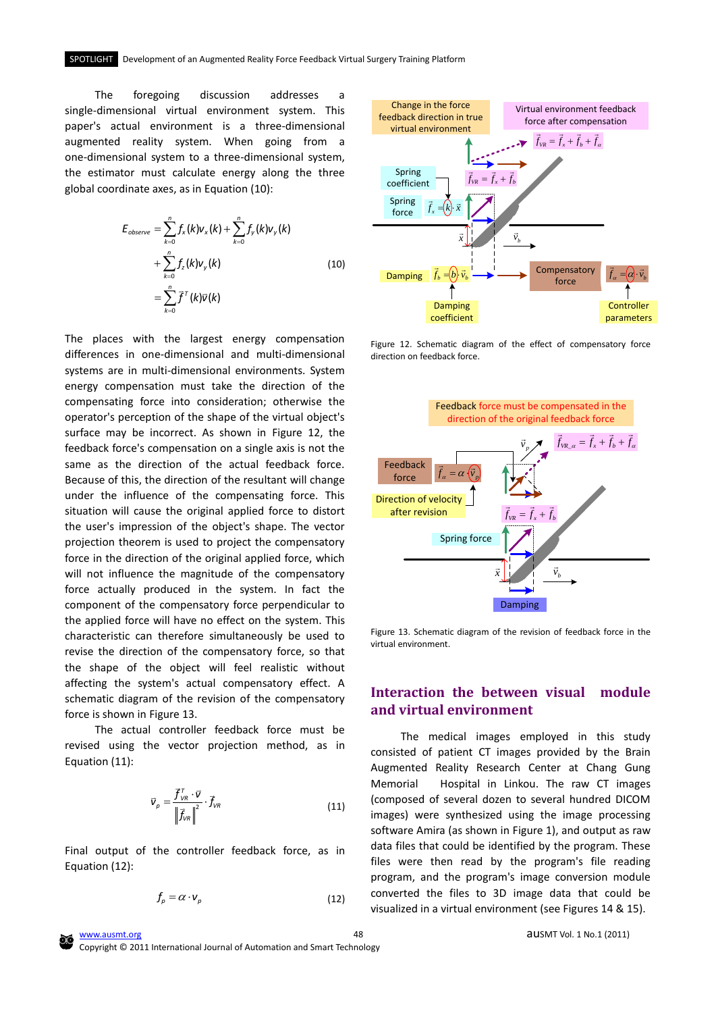The foregoing discussion addresses a single-dimensional virtual environment system. This paper's actual environment is a three-dimensional augmented reality system. When going from a one-dimensional system to a three-dimensional system, the estimator must calculate energy along the three global coordinate axes, as in Equation (10):

$$
E_{observe} = \sum_{k=0}^{n} f_{x}(k)v_{x}(k) + \sum_{k=0}^{n} f_{y}(k)v_{y}(k)
$$
  
+ 
$$
\sum_{k=0}^{n} f_{z}(k)v_{y}(k)
$$
  
= 
$$
\sum_{k=0}^{n} \tilde{f}^{T}(k)\bar{v}(k)
$$
 (10)

The places with the largest energy compensation differences in one-dimensional and multi-dimensional systems are in multi-dimensional environments. System energy compensation must take the direction of the compensating force into consideration; otherwise the operator's perception of the shape of the virtual object's surface may be incorrect. As shown in Figure 12, the feedback force's compensation on a single axis is not the same as the direction of the actual feedback force. Because of this, the direction of the resultant will change under the influence of the compensating force. This situation will cause the original applied force to distort the user's impression of the object's shape. The vector projection theorem is used to project the compensatory force in the direction of the original applied force, which will not influence the magnitude of the compensatory force actually produced in the system. In fact the component of the compensatory force perpendicular to the applied force will have no effect on the system. This characteristic can therefore simultaneously be used to revise the direction of the compensatory force, so that the shape of the object will feel realistic without affecting the system's actual compensatory effect. A schematic diagram of the revision of the compensatory force is shown in Figure 13.

The actual controller feedback force must be revised using the vector projection method, as in Equation (11):

$$
\vec{v}_p = \frac{\vec{f}_{\text{VR}} \cdot \vec{v}}{\left\| \vec{f}_{\text{VR}} \right\|^2} \cdot \vec{f}_{\text{VR}} \tag{11}
$$

Final output of the controller feedback force, as in Equation (12):

$$
f_p = \alpha \cdot \mathsf{v}_p \tag{12}
$$



Figure 12. Schematic diagram of the effect of compensatory force direction on feedback force.



Figure 13. Schematic diagram of the revision of feedback force in the virtual environment.

# **Interaction the between visual module and virtual environment**

The medical images employed in this study consisted of patient CT images provided by the Brain Augmented Reality Research Center at Chang Gung Memorial Hospital in Linkou. The raw CT images (composed of several dozen to several hundred DICOM images) were synthesized using the image processing software Amira (as shown in Figure 1), and output as raw data files that could be identified by the program. These files were then read by the program's file reading program, and the program's image conversion module converted the files to 3D image data that could be visualized in a virtual environment (see Figures 14 & 15).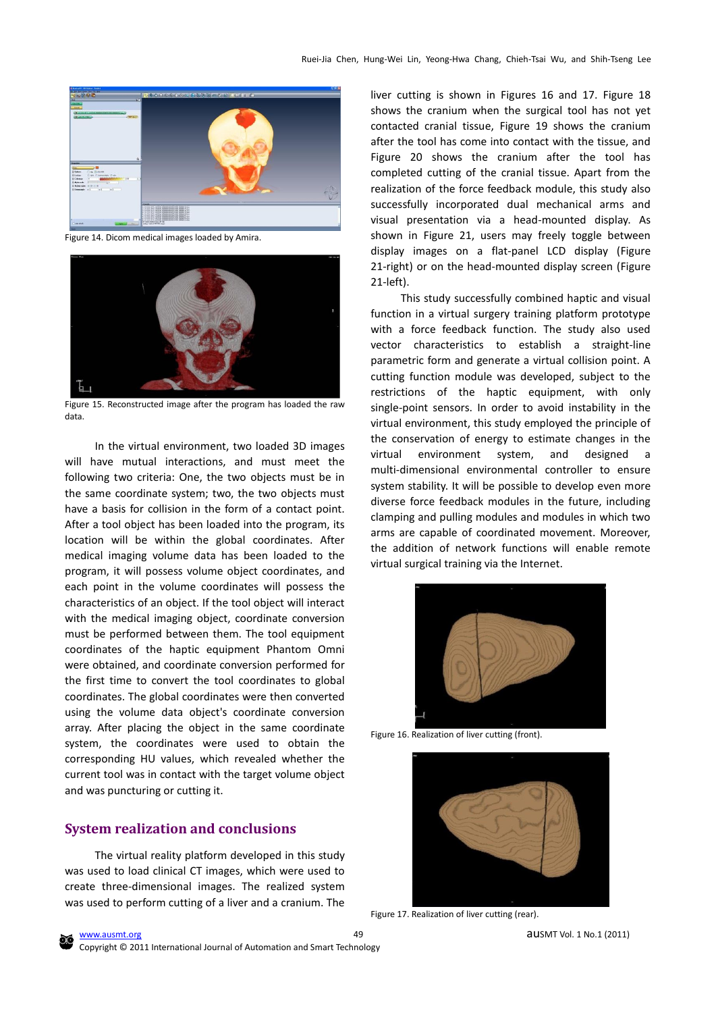

Figure 14. Dicom medical images loaded by Amira.



Figure 15. Reconstructed image after the program has loaded the raw data.

In the virtual environment, two loaded 3D images will have mutual interactions, and must meet the following two criteria: One, the two objects must be in the same coordinate system; two, the two objects must have a basis for collision in the form of a contact point. After a tool object has been loaded into the program, its location will be within the global coordinates. After medical imaging volume data has been loaded to the program, it will possess volume object coordinates, and each point in the volume coordinates will possess the characteristics of an object. If the tool object will interact with the medical imaging object, coordinate conversion must be performed between them. The tool equipment coordinates of the haptic equipment Phantom Omni were obtained, and coordinate conversion performed for the first time to convert the tool coordinates to global coordinates. The global coordinates were then converted using the volume data object's coordinate conversion array. After placing the object in the same coordinate system, the coordinates were used to obtain the corresponding HU values, which revealed whether the current tool was in contact with the target volume object and was puncturing or cutting it.

# **System realization and conclusions**

The virtual reality platform developed in this study was used to load clinical CT images, which were used to create three-dimensional images. The realized system was used to perform cutting of a liver and a cranium. The liver cutting is shown in Figures 16 and 17. Figure 18 shows the cranium when the surgical tool has not yet contacted cranial tissue, Figure 19 shows the cranium after the tool has come into contact with the tissue, and Figure 20 shows the cranium after the tool has completed cutting of the cranial tissue. Apart from the realization of the force feedback module, this study also successfully incorporated dual mechanical arms and visual presentation via a head-mounted display. As shown in Figure 21, users may freely toggle between display images on a flat-panel LCD display (Figure 21-right) or on the head-mounted display screen (Figure 21-left).

This study successfully combined haptic and visual function in a virtual surgery training platform prototype with a force feedback function. The study also used vector characteristics to establish a straight-line parametric form and generate a virtual collision point. A cutting function module was developed, subject to the restrictions of the haptic equipment, with only single-point sensors. In order to avoid instability in the virtual environment, this study employed the principle of the conservation of energy to estimate changes in the virtual environment system, and designed a multi-dimensional environmental controller to ensure system stability. It will be possible to develop even more diverse force feedback modules in the future, including clamping and pulling modules and modules in which two arms are capable of coordinated movement. Moreover, the addition of network functions will enable remote virtual surgical training via the Internet.



Figure 16. Realization of liver cutting (front).



Figure 17. Realization of liver cutting (rear).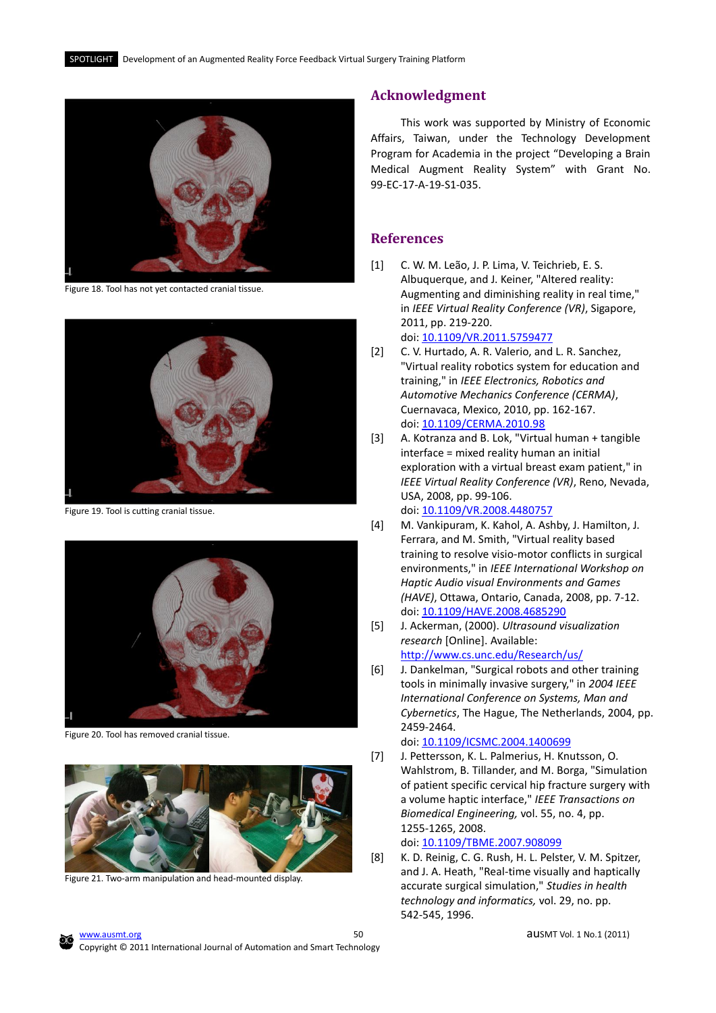

Figure 18. Tool has not yet contacted cranial tissue.



Figure 19. Tool is cutting cranial tissue.



Figure 20. Tool has removed cranial tissue.



Figure 21. Two-arm manipulation and head-mounted display.

## **Acknowledgment**

This work was supported by Ministry of Economic Affairs, Taiwan, under the Technology Development Program for Academia in the project "Developing a Brain Medical Augment Reality System" with Grant No. 99-EC-17-A-19-S1-035.

# **References**

- <span id="page-9-0"></span>[1] C. W. M. Leão, J. P. Lima, V. Teichrieb, E. S. Albuquerque, and J. Keiner, "Altered reality: Augmenting and diminishing reality in real time," in *IEEE Virtual Reality Conference (VR)*, Sigapore, 2011, pp. 219-220. doi: [10.1109/VR.2011.5759477](http://dx.doi.org/10.1109/VR.2011.5759477)
- <span id="page-9-1"></span>[2] C. V. Hurtado, A. R. Valerio, and L. R. Sanchez, "Virtual reality robotics system for education and training," in *IEEE Electronics, Robotics and Automotive Mechanics Conference (CERMA)*, Cuernavaca, Mexico, 2010, pp. 162-167. doi: [10.1109/CERMA.2010.98](http://dx.doi.org/10.1109/CERMA.2010.98)
- <span id="page-9-2"></span>[3] A. Kotranza and B. Lok, "Virtual human + tangible interface = mixed reality human an initial exploration with a virtual breast exam patient," in *IEEE Virtual Reality Conference (VR)*, Reno, Nevada, USA, 2008, pp. 99-106. doi: [10.1109/VR.2008.4480757](http://dx.doi.org/10.1109/VR.2008.4480757)
- <span id="page-9-3"></span>[4] M. Vankipuram, K. Kahol, A. Ashby, J. Hamilton, J. Ferrara, and M. Smith, "Virtual reality based training to resolve visio-motor conflicts in surgical environments," in *IEEE International Workshop on Haptic Audio visual Environments and Games (HAVE)*, Ottawa, Ontario, Canada, 2008, pp. 7-12. doi: [10.1109/HAVE.2008.4685290](http://dx.doi.org/10.1109/HAVE.2008.4685290)
- [5] J. Ackerman, (2000). *Ultrasound visualization research* [Online]. Available: <http://www.cs.unc.edu/Research/us/>
- [6] J. Dankelman, "Surgical robots and other training tools in minimally invasive surgery," in *2004 IEEE International Conference on Systems, Man and Cybernetics*, The Hague, The Netherlands, 2004, pp. 2459-2464.

## doi: [10.1109/ICSMC.2004.1400699](http://dx.doi.org/10.1109/ICSMC.2004.1400699)

- [7] J. Pettersson, K. L. Palmerius, H. Knutsson, O. Wahlstrom, B. Tillander, and M. Borga, "Simulation of patient specific cervical hip fracture surgery with a volume haptic interface," *IEEE Transactions on Biomedical Engineering,* vol. 55, no. 4, pp. 1255-1265, 2008. doi: [10.1109/TBME.2007.908099](http://dx.doi.org/10.1109/TBME.2007.908099)
- [8] K. D. Reinig, C. G. Rush, H. L. Pelster, V. M. Spitzer, and J. A. Heath, "Real-time visually and haptically accurate surgical simulation," *Studies in health technology and informatics,* vol. 29, no. pp. 542-545, 1996.